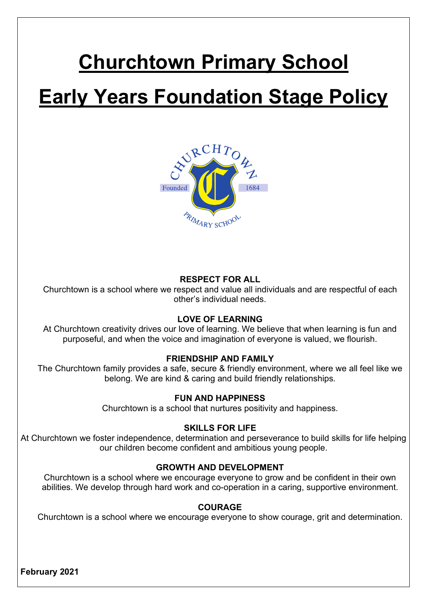# **Churchtown Primary School Early Years Foundation Stage Policy**



## **RESPECT FOR ALL**

Churchtown is a school where we respect and value all individuals and are respectful of each other's individual needs.

## **LOVE OF LEARNING**

At Churchtown creativity drives our love of learning. We believe that when learning is fun and purposeful, and when the voice and imagination of everyone is valued, we flourish.

## **FRIENDSHIP AND FAMILY**

The Churchtown family provides a safe, secure & friendly environment, where we all feel like we belong. We are kind & caring and build friendly relationships.

## **FUN AND HAPPINESS**

Churchtown is a school that nurtures positivity and happiness.

## **SKILLS FOR LIFE**

At Churchtown we foster independence, determination and perseverance to build skills for life helping our children become confident and ambitious young people.

## **GROWTH AND DEVELOPMENT**

Churchtown is a school where we encourage everyone to grow and be confident in their own abilities. We develop through hard work and co-operation in a caring, supportive environment.

## **COURAGE**

Churchtown is a school where we encourage everyone to show courage, grit and determination.

**February 2021**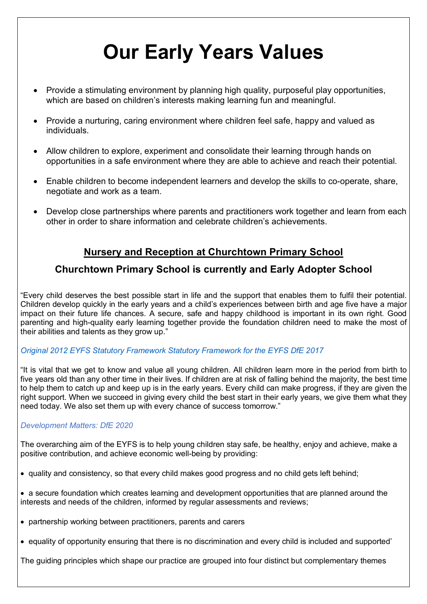# **Our Early Years Values**

- Provide a stimulating environment by planning high quality, purposeful play opportunities, which are based on children's interests making learning fun and meaningful.
- Provide a nurturing, caring environment where children feel safe, happy and valued as individuals.
- Allow children to explore, experiment and consolidate their learning through hands on opportunities in a safe environment where they are able to achieve and reach their potential.
- Enable children to become independent learners and develop the skills to co-operate, share, negotiate and work as a team.
- Develop close partnerships where parents and practitioners work together and learn from each other in order to share information and celebrate children's achievements.

# **Nursery and Reception at Churchtown Primary School**

## **Churchtown Primary School is currently and Early Adopter School**

"Every child deserves the best possible start in life and the support that enables them to fulfil their potential. Children develop quickly in the early years and a child's experiences between birth and age five have a major impact on their future life chances. A secure, safe and happy childhood is important in its own right. Good parenting and high-quality early learning together provide the foundation children need to make the most of their abilities and talents as they grow up."

## *Original 2012 EYFS Statutory Framework Statutory Framework for the EYFS DfE 2017*

"It is vital that we get to know and value all young children. All children learn more in the period from birth to five years old than any other time in their lives. If children are at risk of falling behind the majority, the best time to help them to catch up and keep up is in the early years. Every child can make progress, if they are given the right support. When we succeed in giving every child the best start in their early years, we give them what they need today. We also set them up with every chance of success tomorrow."

## *Development Matters: DfE 2020*

The overarching aim of the EYFS is to help young children stay safe, be healthy, enjoy and achieve, make a positive contribution, and achieve economic well-being by providing:

- quality and consistency, so that every child makes good progress and no child gets left behind;
- a secure foundation which creates learning and development opportunities that are planned around the interests and needs of the children, informed by regular assessments and reviews;
- partnership working between practitioners, parents and carers
- equality of opportunity ensuring that there is no discrimination and every child is included and supported'

The guiding principles which shape our practice are grouped into four distinct but complementary themes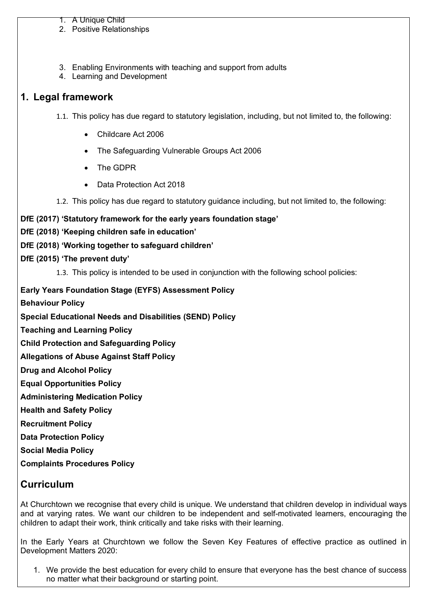#### 1. A Unique Child

- 2. Positive Relationships
- 3. Enabling Environments with teaching and support from adults
- 4. Learning and Development

## **1. Legal framework**

1.1. This policy has due regard to statutory legislation, including, but not limited to, the following:

- Childcare Act 2006
- The Safeguarding Vulnerable Groups Act 2006
- The GDPR
- Data Protection Act 2018
- 1.2. This policy has due regard to statutory guidance including, but not limited to, the following:

## **DfE (2017) 'Statutory framework for the early years foundation stage'**

- **DfE (2018) 'Keeping children safe in education'**
- **DfE (2018) 'Working together to safeguard children'**

## **DfE (2015) 'The prevent duty'**

1.3. This policy is intended to be used in conjunction with the following school policies:

## **Early Years Foundation Stage (EYFS) Assessment Policy**

- **Behaviour Policy**
- **Special Educational Needs and Disabilities (SEND) Policy**
- **Teaching and Learning Policy**
- **Child Protection and Safeguarding Policy**
- **Allegations of Abuse Against Staff Policy**
- **Drug and Alcohol Policy**
- **Equal Opportunities Policy**
- **Administering Medication Policy**
- **Health and Safety Policy**
- **Recruitment Policy**
- **Data Protection Policy**

**Social Media Policy**

**Complaints Procedures Policy**

## **Curriculum**

At Churchtown we recognise that every child is unique. We understand that children develop in individual ways and at varying rates. We want our children to be independent and self-motivated learners, encouraging the children to adapt their work, think critically and take risks with their learning.

In the Early Years at Churchtown we follow the Seven Key Features of effective practice as outlined in Development Matters 2020:

1. We provide the best education for every child to ensure that everyone has the best chance of success no matter what their background or starting point.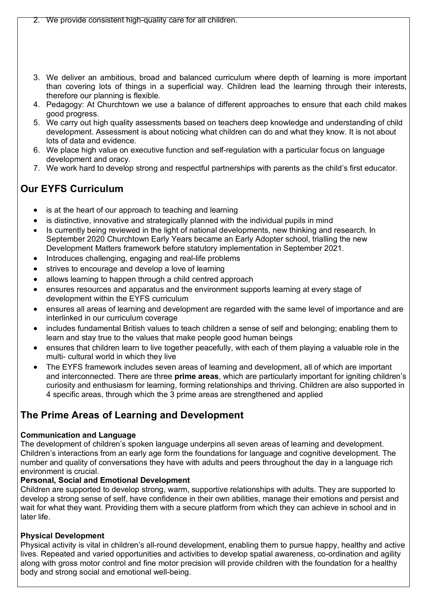- 3. We deliver an ambitious, broad and balanced curriculum where depth of learning is more important than covering lots of things in a superficial way. Children lead the learning through their interests, therefore our planning is flexible.
- 4. Pedagogy: At Churchtown we use a balance of different approaches to ensure that each child makes good progress.
- 5. We carry out high quality assessments based on teachers deep knowledge and understanding of child development. Assessment is about noticing what children can do and what they know. It is not about lots of data and evidence.
- 6. We place high value on executive function and self-regulation with a particular focus on language development and oracy.
- 7. We work hard to develop strong and respectful partnerships with parents as the child's first educator.

# **Our EYFS Curriculum**

- is at the heart of our approach to teaching and learning
- is distinctive, innovative and strategically planned with the individual pupils in mind
- Is currently being reviewed in the light of national developments, new thinking and research. In September 2020 Churchtown Early Years became an Early Adopter school, trialling the new Development Matters framework before statutory implementation in September 2021.
- Introduces challenging, engaging and real-life problems
- strives to encourage and develop a love of learning
- allows learning to happen through a child centred approach
- ensures resources and apparatus and the environment supports learning at every stage of development within the EYFS curriculum
- ensures all areas of learning and development are regarded with the same level of importance and are interlinked in our curriculum coverage
- includes fundamental British values to teach children a sense of self and belonging; enabling them to learn and stay true to the values that make people good human beings
- ensures that children learn to live together peacefully, with each of them playing a valuable role in the multi- cultural world in which they live
- The EYFS framework includes seven areas of learning and development, all of which are important and interconnected. There are three **prime areas**, which are particularly important for igniting children's curiosity and enthusiasm for learning, forming relationships and thriving. Children are also supported in 4 specific areas, through which the 3 prime areas are strengthened and applied

## **The Prime Areas of Learning and Development**

## **Communication and Language**

The development of children's spoken language underpins all seven areas of learning and development. Children's interactions from an early age form the foundations for language and cognitive development. The number and quality of conversations they have with adults and peers throughout the day in a language rich environment is crucial.

## **Personal, Social and Emotional Development**

Children are supported to develop strong, warm, supportive relationships with adults. They are supported to develop a strong sense of self, have confidence in their own abilities, manage their emotions and persist and wait for what they want. Providing them with a secure platform from which they can achieve in school and in later life.

## **Physical Development**

Physical activity is vital in children's all-round development, enabling them to pursue happy, healthy and active lives. Repeated and varied opportunities and activities to develop spatial awareness, co-ordination and agility along with gross motor control and fine motor precision will provide children with the foundation for a healthy body and strong social and emotional well-being.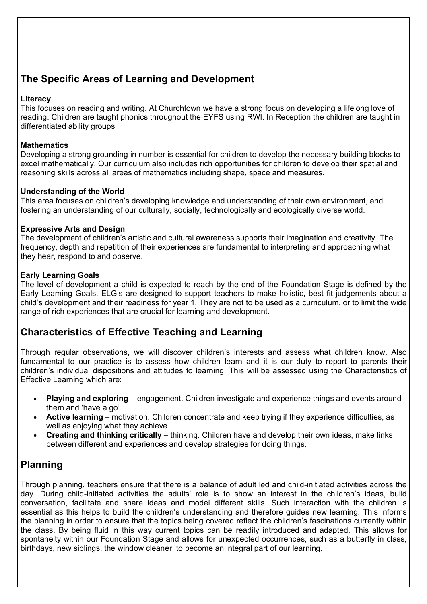# **The Specific Areas of Learning and Development**

#### **Literacy**

This focuses on reading and writing. At Churchtown we have a strong focus on developing a lifelong love of reading. Children are taught phonics throughout the EYFS using RWI. In Reception the children are taught in differentiated ability groups.

#### **Mathematics**

Developing a strong grounding in number is essential for children to develop the necessary building blocks to excel mathematically. Our curriculum also includes rich opportunities for children to develop their spatial and reasoning skills across all areas of mathematics including shape, space and measures.

#### **Understanding of the World**

This area focuses on children's developing knowledge and understanding of their own environment, and fostering an understanding of our culturally, socially, technologically and ecologically diverse world.

#### **Expressive Arts and Design**

The development of children's artistic and cultural awareness supports their imagination and creativity. The frequency, depth and repetition of their experiences are fundamental to interpreting and approaching what they hear, respond to and observe.

#### **Early Learning Goals**

The level of development a child is expected to reach by the end of the Foundation Stage is defined by the Early Learning Goals. ELG's are designed to support teachers to make holistic, best fit judgements about a child's development and their readiness for year 1. They are not to be used as a curriculum, or to limit the wide range of rich experiences that are crucial for learning and development.

## **Characteristics of Effective Teaching and Learning**

Through regular observations, we will discover children's interests and assess what children know. Also fundamental to our practice is to assess how children learn and it is our duty to report to parents their children's individual dispositions and attitudes to learning. This will be assessed using the Characteristics of Effective Learning which are:

- **Playing and exploring** engagement. Children investigate and experience things and events around them and 'have a go'.
- **Active learning** motivation. Children concentrate and keep trying if they experience difficulties, as well as enjoying what they achieve.
- **Creating and thinking critically** thinking. Children have and develop their own ideas, make links between different and experiences and develop strategies for doing things.

## **Planning**

Through planning, teachers ensure that there is a balance of adult led and child-initiated activities across the day. During child-initiated activities the adults' role is to show an interest in the children's ideas, build conversation, facilitate and share ideas and model different skills. Such interaction with the children is essential as this helps to build the children's understanding and therefore guides new learning. This informs the planning in order to ensure that the topics being covered reflect the children's fascinations currently within the class. By being fluid in this way current topics can be readily introduced and adapted. This allows for spontaneity within our Foundation Stage and allows for unexpected occurrences, such as a butterfly in class, birthdays, new siblings, the window cleaner, to become an integral part of our learning.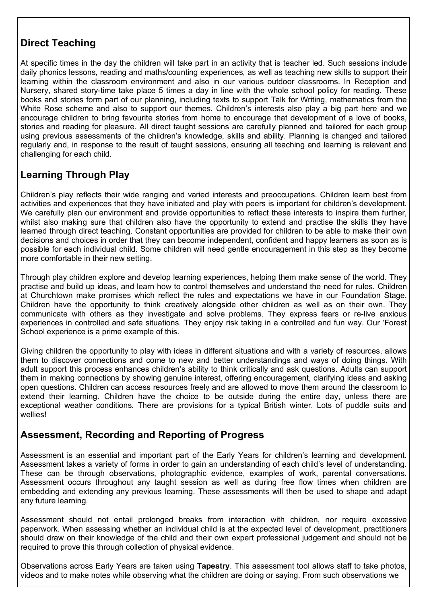# **Direct Teaching**

At specific times in the day the children will take part in an activity that is teacher led. Such sessions include daily phonics lessons, reading and maths/counting experiences, as well as teaching new skills to support their learning within the classroom environment and also in our various outdoor classrooms. In Reception and Nursery, shared story-time take place 5 times a day in line with the whole school policy for reading. These books and stories form part of our planning, including texts to support Talk for Writing, mathematics from the White Rose scheme and also to support our themes. Children's interests also play a big part here and we encourage children to bring favourite stories from home to encourage that development of a love of books, stories and reading for pleasure. All direct taught sessions are carefully planned and tailored for each group using previous assessments of the children's knowledge, skills and ability. Planning is changed and tailored regularly and, in response to the result of taught sessions, ensuring all teaching and learning is relevant and challenging for each child.

# **Learning Through Play**

Children's play reflects their wide ranging and varied interests and preoccupations. Children learn best from activities and experiences that they have initiated and play with peers is important for children's development. We carefully plan our environment and provide opportunities to reflect these interests to inspire them further, whilst also making sure that children also have the opportunity to extend and practise the skills they have learned through direct teaching. Constant opportunities are provided for children to be able to make their own decisions and choices in order that they can become independent, confident and happy learners as soon as is possible for each individual child. Some children will need gentle encouragement in this step as they become more comfortable in their new setting.

Through play children explore and develop learning experiences, helping them make sense of the world. They practise and build up ideas, and learn how to control themselves and understand the need for rules. Children at Churchtown make promises which reflect the rules and expectations we have in our Foundation Stage. Children have the opportunity to think creatively alongside other children as well as on their own. They communicate with others as they investigate and solve problems. They express fears or re-live anxious experiences in controlled and safe situations. They enjoy risk taking in a controlled and fun way. Our 'Forest School experience is a prime example of this.

Giving children the opportunity to play with ideas in different situations and with a variety of resources, allows them to discover connections and come to new and better understandings and ways of doing things. With adult support this process enhances children's ability to think critically and ask questions. Adults can support them in making connections by showing genuine interest, offering encouragement, clarifying ideas and asking open questions. Children can access resources freely and are allowed to move them around the classroom to extend their learning. Children have the choice to be outside during the entire day, unless there are exceptional weather conditions. There are provisions for a typical British winter. Lots of puddle suits and wellies!

## **Assessment, Recording and Reporting of Progress**

Assessment is an essential and important part of the Early Years for children's learning and development. Assessment takes a variety of forms in order to gain an understanding of each child's level of understanding. These can be through observations, photographic evidence, examples of work, parental conversations. Assessment occurs throughout any taught session as well as during free flow times when children are embedding and extending any previous learning. These assessments will then be used to shape and adapt any future learning.

Assessment should not entail prolonged breaks from interaction with children, nor require excessive paperwork. When assessing whether an individual child is at the expected level of development, practitioners should draw on their knowledge of the child and their own expert professional judgement and should not be required to prove this through collection of physical evidence.

Observations across Early Years are taken using **Tapestry**. This assessment tool allows staff to take photos, videos and to make notes while observing what the children are doing or saying. From such observations we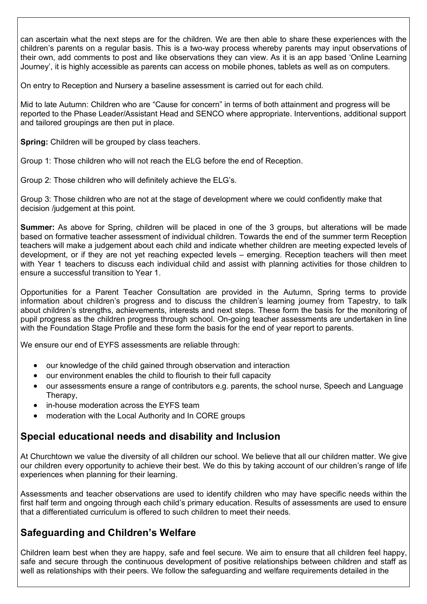can ascertain what the next steps are for the children. We are then able to share these experiences with the children's parents on a regular basis. This is a two-way process whereby parents may input observations of their own, add comments to post and like observations they can view. As it is an app based 'Online Learning Journey', it is highly accessible as parents can access on mobile phones, tablets as well as on computers.

On entry to Reception and Nursery a baseline assessment is carried out for each child.

Mid to late Autumn: Children who are "Cause for concern" in terms of both attainment and progress will be reported to the Phase Leader/Assistant Head and SENCO where appropriate. Interventions, additional support and tailored groupings are then put in place.

**Spring:** Children will be grouped by class teachers.

Group 1: Those children who will not reach the ELG before the end of Reception.

Group 2: Those children who will definitely achieve the ELG's.

Group 3: Those children who are not at the stage of development where we could confidently make that decision /judgement at this point.

**Summer:** As above for Spring, children will be placed in one of the 3 groups, but alterations will be made based on formative teacher assessment of individual children. Towards the end of the summer term Reception teachers will make a judgement about each child and indicate whether children are meeting expected levels of development, or if they are not yet reaching expected levels – emerging. Reception teachers will then meet with Year 1 teachers to discuss each individual child and assist with planning activities for those children to ensure a successful transition to Year 1.

Opportunities for a Parent Teacher Consultation are provided in the Autumn, Spring terms to provide information about children's progress and to discuss the children's learning journey from Tapestry, to talk about children's strengths, achievements, interests and next steps. These form the basis for the monitoring of pupil progress as the children progress through school. On-going teacher assessments are undertaken in line with the Foundation Stage Profile and these form the basis for the end of year report to parents.

We ensure our end of EYFS assessments are reliable through:

- our knowledge of the child gained through observation and interaction
- our environment enables the child to flourish to their full capacity
- our assessments ensure a range of contributors e.g. parents, the school nurse, Speech and Language Therapy,
- in-house moderation across the EYFS team
- moderation with the Local Authority and In CORE groups

## **Special educational needs and disability and Inclusion**

At Churchtown we value the diversity of all children our school. We believe that all our children matter. We give our children every opportunity to achieve their best. We do this by taking account of our children's range of life experiences when planning for their learning.

Assessments and teacher observations are used to identify children who may have specific needs within the first half term and ongoing through each child's primary education. Results of assessments are used to ensure that a differentiated curriculum is offered to such children to meet their needs.

## **Safeguarding and Children's Welfare**

Children learn best when they are happy, safe and feel secure. We aim to ensure that all children feel happy, safe and secure through the continuous development of positive relationships between children and staff as well as relationships with their peers. We follow the safeguarding and welfare requirements detailed in the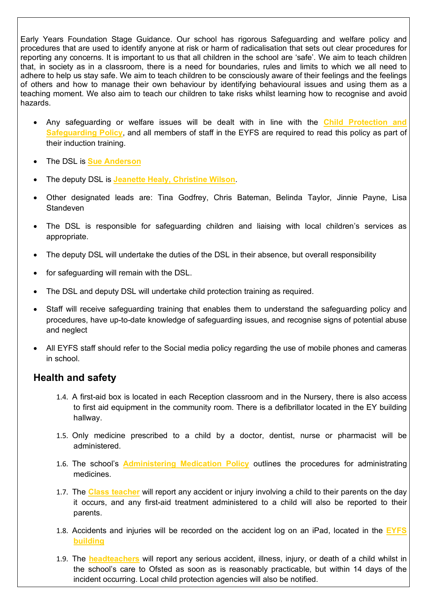Early Years Foundation Stage Guidance. Our school has rigorous Safeguarding and welfare policy and procedures that are used to identify anyone at risk or harm of radicalisation that sets out clear procedures for reporting any concerns. It is important to us that all children in the school are 'safe'. We aim to teach children that, in society as in a classroom, there is a need for boundaries, rules and limits to which we all need to adhere to help us stay safe. We aim to teach children to be consciously aware of their feelings and the feelings of others and how to manage their own behaviour by identifying behavioural issues and using them as a teaching moment. We also aim to teach our children to take risks whilst learning how to recognise and avoid hazards.

- Any safeguarding or welfare issues will be dealt with in line with the **Child Protection and Safeguarding Policy**, and all members of staff in the EYFS are required to read this policy as part of their induction training.
- The DSL is **Sue Anderson**
- The deputy DSL is **Jeanette Healy, Christine Wilson**.
- Other designated leads are: Tina Godfrey, Chris Bateman, Belinda Taylor, Jinnie Payne, Lisa Standeven
- The DSL is responsible for safeguarding children and liaising with local children's services as appropriate.
- The deputy DSL will undertake the duties of the DSL in their absence, but overall responsibility
- for safeguarding will remain with the DSL.
- The DSL and deputy DSL will undertake child protection training as required.
- Staff will receive safeguarding training that enables them to understand the safeguarding policy and procedures, have up-to-date knowledge of safeguarding issues, and recognise signs of potential abuse and neglect
- All EYFS staff should refer to the Social media policy regarding the use of mobile phones and cameras in school.

## **Health and safety**

- 1.4. A first-aid box is located in each Reception classroom and in the Nursery, there is also access to first aid equipment in the community room. There is a defibrillator located in the EY building hallway.
- 1.5. Only medicine prescribed to a child by a doctor, dentist, nurse or pharmacist will be administered.
- 1.6. The school's **Administering Medication Policy** outlines the procedures for administrating medicines.
- 1.7. The **Class teacher** will report any accident or injury involving a child to their parents on the day it occurs, and any first-aid treatment administered to a child will also be reported to their parents.
- 1.8. Accidents and injuries will be recorded on the accident log on an iPad, located in the **EYFS building**
- 1.9. The **headteachers** will report any serious accident, illness, injury, or death of a child whilst in the school's care to Ofsted as soon as is reasonably practicable, but within 14 days of the incident occurring. Local child protection agencies will also be notified.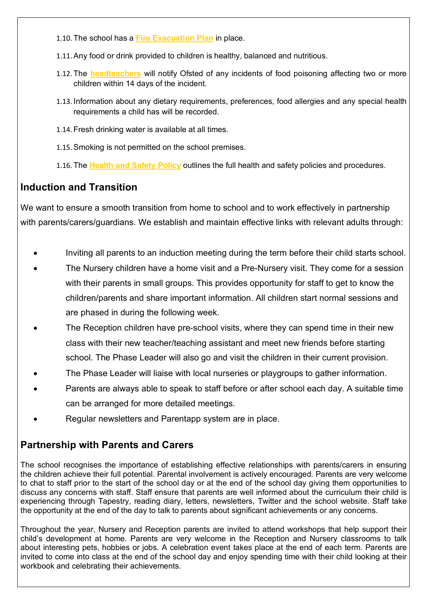- 1.10. The school has a **Fire Evacuation Plan** in place.
- 1.11.Any food or drink provided to children is healthy, balanced and nutritious.
- 1.12. The **headteachers** will notify Ofsted of any incidents of food poisoning affecting two or more children within 14 days of the incident.
- 1.13. Information about any dietary requirements, preferences, food allergies and any special health requirements a child has will be recorded.
- 1.14. Fresh drinking water is available at all times.
- 1.15.Smoking is not permitted on the school premises.
- 1.16. The **Health and Safety Policy** outlines the full health and safety policies and procedures.

# **Induction and Transition**

We want to ensure a smooth transition from home to school and to work effectively in partnership with parents/carers/guardians. We establish and maintain effective links with relevant adults through:

- Inviting all parents to an induction meeting during the term before their child starts school.
- The Nursery children have a home visit and a Pre-Nursery visit. They come for a session with their parents in small groups. This provides opportunity for staff to get to know the children/parents and share important information. All children start normal sessions and are phased in during the following week.
- The Reception children have pre-school visits, where they can spend time in their new class with their new teacher/teaching assistant and meet new friends before starting school. The Phase Leader will also go and visit the children in their current provision.
- The Phase Leader will liaise with local nurseries or playgroups to gather information.
- Parents are always able to speak to staff before or after school each day. A suitable time can be arranged for more detailed meetings.
- Regular newsletters and Parentapp system are in place.

# **Partnership with Parents and Carers**

The school recognises the importance of establishing effective relationships with parents/carers in ensuring the children achieve their full potential. Parental involvement is actively encouraged. Parents are very welcome to chat to staff prior to the start of the school day or at the end of the school day giving them opportunities to discuss any concerns with staff. Staff ensure that parents are well informed about the curriculum their child is experiencing through Tapestry, reading diary, letters, newsletters, Twitter and the school website. Staff take the opportunity at the end of the day to talk to parents about significant achievements or any concerns.

Throughout the year, Nursery and Reception parents are invited to attend workshops that help support their child's development at home. Parents are very welcome in the Reception and Nursery classrooms to talk about interesting pets, hobbies or jobs. A celebration event takes place at the end of each term. Parents are invited to come into class at the end of the school day and enjoy spending time with their child looking at their workbook and celebrating their achievements.